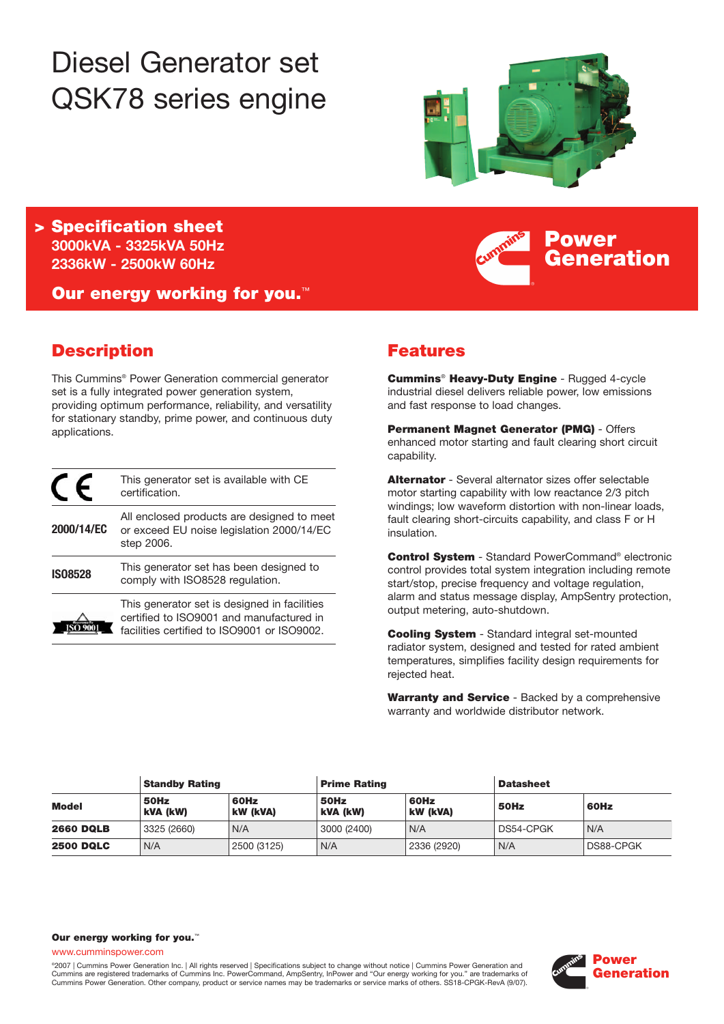# Diesel Generator set QSK78 series engine



**Power**

**Generation**

**> Specification sheet 3000kVA - 3325kVA 50Hz 2336kW - 2500kW 60Hz**

**Our energy working for you.**™

# **Description**

This Cummins® Power Generation commercial generator set is a fully integrated power generation system, providing optimum performance, reliability, and versatility for stationary standby, prime power, and continuous duty applications.

|                | This generator set is available with CE<br>certification.                                                                               |
|----------------|-----------------------------------------------------------------------------------------------------------------------------------------|
| 2000/14/EC     | All enclosed products are designed to meet<br>or exceed EU noise legislation 2000/14/EC<br>step 2006.                                   |
| <b>IS08528</b> | This generator set has been designed to<br>comply with ISO8528 regulation.                                                              |
|                | This generator set is designed in facilities<br>certified to ISO9001 and manufactured in<br>facilities certified to ISO9001 or ISO9002. |

# **Features**

**Cummins**® **Heavy-Duty Engine** - Rugged 4-cycle industrial diesel delivers reliable power, low emissions and fast response to load changes.

**Permanent Magnet Generator (PMG)** - Offers enhanced motor starting and fault clearing short circuit capability.

**Alternator** - Several alternator sizes offer selectable motor starting capability with low reactance 2/3 pitch windings; low waveform distortion with non-linear loads, fault clearing short-circuits capability, and class F or H insulation.

**Control System** - Standard PowerCommand® electronic control provides total system integration including remote start/stop, precise frequency and voltage regulation, alarm and status message display, AmpSentry protection, output metering, auto-shutdown.

**Cooling System** - Standard integral set-mounted radiator system, designed and tested for rated ambient temperatures, simplifies facility design requirements for rejected heat.

**Warranty and Service** - Backed by a comprehensive warranty and worldwide distributor network.

|                  | <b>Standby Rating</b> |                  | <b>Prime Rating</b> |                         | <b>Datasheet</b> |                  |
|------------------|-----------------------|------------------|---------------------|-------------------------|------------------|------------------|
| <b>Model</b>     | 50Hz<br>kVA (kW)      | 60Hz<br>kW (kVA) | 50Hz<br>kVA (kW)    | 60Hz<br><b>kW (kVA)</b> | 50Hz             | 60Hz             |
| <b>2660 DQLB</b> | 3325 (2660)           | N/A              | 3000 (2400)         | N/A                     | DS54-CPGK        | N/A              |
| <b>2500 DQLC</b> | N/A                   | 2500 (3125)      | N/A                 | 2336 (2920)             | N/A              | <b>DS88-CPGK</b> |

#### **Our energy working for you.**™

www.cumminspower.com

°2007 | Cummins Power Generation Inc. | All rights reserved | Specifications subject to change without notice | Cummins Power Generation and<br>Cummins are registered trademarks of Cummins Inc. PowerCommand, AmpSentry, InPow Cummins Power Generation. Other company, product or service names may be trademarks or service marks of others. SS18-CPGK-RevA (9/07).

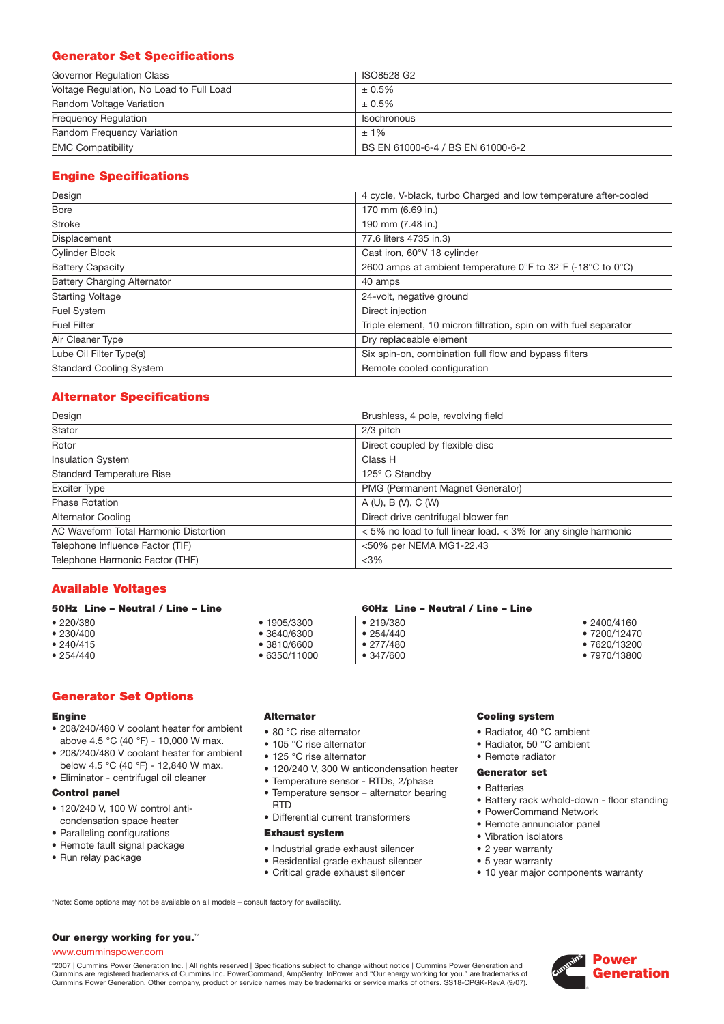# **Generator Set Specifications**

| Governor Regulation Class                | ISO8528 G2                        |
|------------------------------------------|-----------------------------------|
| Voltage Regulation, No Load to Full Load | $± 0.5\%$                         |
| Random Voltage Variation                 | $± 0.5\%$                         |
| <b>Frequency Requiation</b>              | Isochronous                       |
| Random Frequency Variation               | $+1\%$                            |
| <b>EMC Compatibility</b>                 | BS EN 61000-6-4 / BS EN 61000-6-2 |

# **Engine Specifications**

| Design                             | 4 cycle, V-black, turbo Charged and low temperature after-cooled  |  |  |  |
|------------------------------------|-------------------------------------------------------------------|--|--|--|
| <b>Bore</b>                        | 170 mm (6.69 in.)                                                 |  |  |  |
| <b>Stroke</b>                      | 190 mm (7.48 in.)                                                 |  |  |  |
| Displacement                       | 77.6 liters 4735 in.3)                                            |  |  |  |
| <b>Cylinder Block</b>              | Cast iron, 60°V 18 cylinder                                       |  |  |  |
| <b>Battery Capacity</b>            | 2600 amps at ambient temperature 0°F to 32°F (-18°C to 0°C)       |  |  |  |
| <b>Battery Charging Alternator</b> | 40 amps                                                           |  |  |  |
| <b>Starting Voltage</b>            | 24-volt, negative ground                                          |  |  |  |
| Fuel System                        | Direct injection                                                  |  |  |  |
| <b>Fuel Filter</b>                 | Triple element, 10 micron filtration, spin on with fuel separator |  |  |  |
| Air Cleaner Type                   | Dry replaceable element                                           |  |  |  |
| Lube Oil Filter Type(s)            | Six spin-on, combination full flow and bypass filters             |  |  |  |
| <b>Standard Cooling System</b>     | Remote cooled configuration                                       |  |  |  |

# **Alternator Specifications**

| Design                                | Brushless, 4 pole, revolving field                                 |
|---------------------------------------|--------------------------------------------------------------------|
| Stator                                | 2/3 pitch                                                          |
| Rotor                                 | Direct coupled by flexible disc                                    |
| <b>Insulation System</b>              | Class H                                                            |
| <b>Standard Temperature Rise</b>      | 125° C Standby                                                     |
| <b>Exciter Type</b>                   | PMG (Permanent Magnet Generator)                                   |
| <b>Phase Rotation</b>                 | A(U), B(V), C(W)                                                   |
| <b>Alternator Cooling</b>             | Direct drive centrifugal blower fan                                |
| AC Waveform Total Harmonic Distortion | $<$ 5% no load to full linear load. $<$ 3% for any single harmonic |
| Telephone Influence Factor (TIF)      | <50% per NEMA MG1-22.43                                            |
| Telephone Harmonic Factor (THF)       | $<$ 3%                                                             |

# **Available Voltages**

| 50Hz Line - Neutral / Line - Line |                   |                                   |
|-----------------------------------|-------------------|-----------------------------------|
| ● 1905/3300                       | $\bullet$ 219/380 | $\cdot$ 2400/4160                 |
| ● 3640/6300                       | $\bullet$ 254/440 | $\bullet$ 7200/12470              |
| $\bullet$ 3810/6600               | $\bullet$ 277/480 | $\bullet$ 7620/13200              |
| $\bullet$ 6350/11000              | $\bullet$ 347/600 | $\bullet$ 7970/13800              |
|                                   |                   | 60Hz Line - Neutral / Line - Line |

# **Generator Set Options**

## **Engine**

- 208/240/480 V coolant heater for ambient above 4.5 °C (40 °F) - 10,000 W max.
- 208/240/480 V coolant heater for ambient below 4.5 °C (40 °F) - 12,840 W max.
- Eliminator centrifugal oil cleaner

## **Control panel**

- 120/240 V, 100 W control anticondensation space heater
- Paralleling configurations
- Remote fault signal package
- Run relay package

#### **Alternator**

- 80 °C rise alternator
- 105 °C rise alternator
- 125 °C rise alternator
- 120/240 V, 300 W anticondensation heater
- Temperature sensor RTDs, 2/phase
- Temperature sensor alternator bearing RTD
- Differential current transformers

#### **Exhaust system**

- Industrial grade exhaust silencer
- Residential grade exhaust silencer
- Critical grade exhaust silencer

# **Cooling system**

- Radiator, 40 °C ambient
- Radiator, 50 °C ambient
- Remote radiator

#### **Generator set**

- Batteries
- Battery rack w/hold-down floor standing
- PowerCommand Network
- Remote annunciator panel
- Vibration isolators
- 2 year warranty
- 5 year warranty
- 10 year major components warranty

\*Note: Some options may not be available on all models – consult factory for availability.

#### **Our energy working for you.**™

## www.cumminspower.com

°2007 | Cummins Power Generation Inc. | All rights reserved | Specifications subject to change without notice | Cummins Power Generation and<br>Cummins are registered trademarks of Cummins Inc. PowerCommand, AmpSentry, InPow

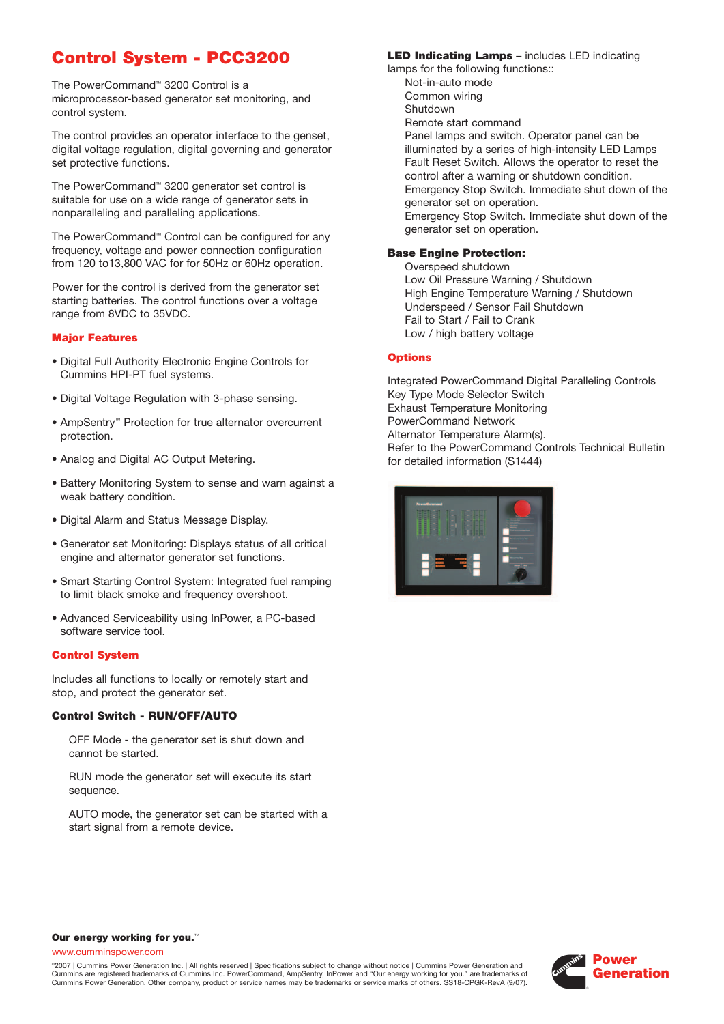# **Control System - PCC3200**

The PowerCommand™ 3200 Control is a microprocessor-based generator set monitoring, and control system.

The control provides an operator interface to the genset, digital voltage regulation, digital governing and generator set protective functions.

The PowerCommand™ 3200 generator set control is suitable for use on a wide range of generator sets in nonparalleling and paralleling applications.

The PowerCommand™ Control can be configured for any frequency, voltage and power connection configuration from 120 to13,800 VAC for for 50Hz or 60Hz operation.

Power for the control is derived from the generator set starting batteries. The control functions over a voltage range from 8VDC to 35VDC.

#### **Major Features**

- Digital Full Authority Electronic Engine Controls for Cummins HPI-PT fuel systems.
- Digital Voltage Regulation with 3-phase sensing.
- AmpSentry™ Protection for true alternator overcurrent protection.
- Analog and Digital AC Output Metering.
- Battery Monitoring System to sense and warn against a weak battery condition.
- Digital Alarm and Status Message Display.
- Generator set Monitoring: Displays status of all critical engine and alternator generator set functions.
- Smart Starting Control System: Integrated fuel ramping to limit black smoke and frequency overshoot.
- Advanced Serviceability using InPower, a PC-based software service tool.

#### **Control System**

Includes all functions to locally or remotely start and stop, and protect the generator set.

#### **Control Switch - RUN/OFF/AUTO**

OFF Mode - the generator set is shut down and cannot be started.

RUN mode the generator set will execute its start sequence.

AUTO mode, the generator set can be started with a start signal from a remote device.

## **LED Indicating Lamps** – includes LED indicating

lamps for the following functions:: Not-in-auto mode Common wiring Shutdown Remote start command Panel lamps and switch. Operator panel can be illuminated by a series of high-intensity LED Lamps Fault Reset Switch. Allows the operator to reset the control after a warning or shutdown condition. Emergency Stop Switch. Immediate shut down of the generator set on operation. Emergency Stop Switch. Immediate shut down of the generator set on operation.

#### **Base Engine Protection:**

Overspeed shutdown Low Oil Pressure Warning / Shutdown High Engine Temperature Warning / Shutdown Underspeed / Sensor Fail Shutdown Fail to Start / Fail to Crank Low / high battery voltage

#### **Options**

Integrated PowerCommand Digital Paralleling Controls Key Type Mode Selector Switch Exhaust Temperature Monitoring PowerCommand Network Alternator Temperature Alarm(s). Refer to the PowerCommand Controls Technical Bulletin for detailed information (S1444)



#### **Our energy working for you.**™

www.cumminspower.com

©2007 | Cummins Power Generation Inc. | All rights reserved | Specifications subject to change without notice | Cummins Power Generation and Cummins are registered trademarks of Cummins Inc. PowerCommand, AmpSentry, InPower and "Our energy working for you." are trademarks of Cummins Power Generation. Other company, product or service names may be trademarks or service marks of others. SS18-CPGK-RevA (9/07).